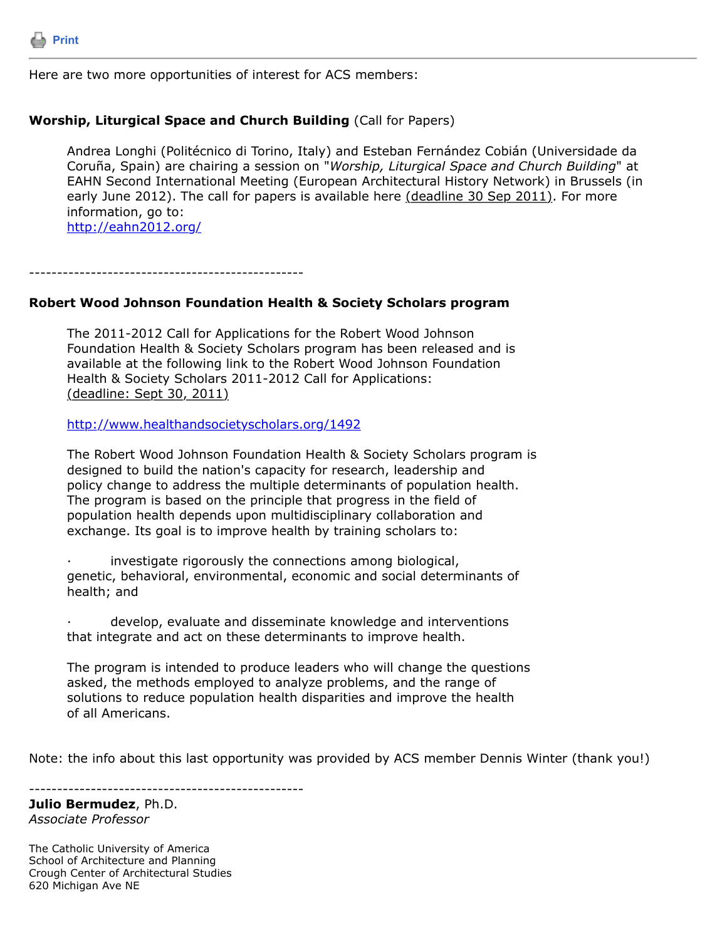

Here are two more opportunities of interest for ACS members:

## **Worship, Liturgical Space and Church Building** (Call for Papers)

Andrea Longhi (Politécnico di Torino, Italy) and Esteban Fernández Cobián (Universidade da Coruña, Spain) are chairing a session on "*Worship, Liturgical Space and Church Building*" at EAHN Second International Meeting (European Architectural History Network) in Brussels (in early June 2012). The call for papers is available here (deadline 30 Sep 2011). For more information, go to: <http://eahn2012.org/>

-------------------------------------------------

## **Robert Wood Johnson Foundation Health & Society Scholars program**

The 2011-2012 Call for Applications for the Robert Wood Johnson Foundation Health & Society Scholars program has been released and is available at the following link to the Robert Wood Johnson Foundation Health & Society Scholars 2011-2012 Call for Applications: (deadline: Sept 30, 2011)

<http://www.healthandsocietyscholars.org/1492>

The Robert Wood Johnson Foundation Health & Society Scholars program is designed to build the nation's capacity for research, leadership and policy change to address the multiple determinants of population health. The program is based on the principle that progress in the field of population health depends upon multidisciplinary collaboration and exchange. Its goal is to improve health by training scholars to:

investigate rigorously the connections among biological, genetic, behavioral, environmental, economic and social determinants of health; and

develop, evaluate and disseminate knowledge and interventions that integrate and act on these determinants to improve health.

The program is intended to produce leaders who will change the questions asked, the methods employed to analyze problems, and the range of solutions to reduce population health disparities and improve the health of all Americans.

Note: the info about this last opportunity was provided by ACS member Dennis Winter (thank you!)

-------------------------------------------------

**Julio Bermudez**, Ph.D. *Associate Professor*

The Catholic University of America School of Architecture and Planning Crough Center of Architectural Studies 620 Michigan Ave NE